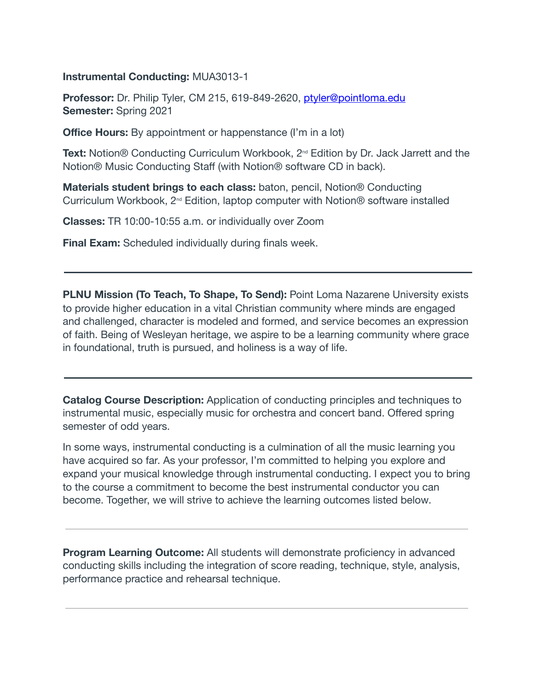#### **Instrumental Conducting:**  MUA3013-1

Professor: Dr. Philip Tyler, CM 215, 619-849-2620, ptyler@pointloma.edu **Semester:**  Spring 2021

**Office Hours:** By appointment or happenstance (I'm in a lot)

Text: Notion® Conducting Curriculum Workbook, 2<sup>nd</sup> Edition by Dr. Jack Jarrett and the Notion® Music Conducting Staff (with Notion® software CD in back).

**Materials student brings to each class:** baton, pencil, Notion® Conducting Curriculum Workbook, 2<sup>nd</sup> Edition, laptop computer with Notion® software installed

**Classes:**  TR 10:00-10:55 a.m. or individually over Zoom

**Final Exam:** Scheduled individually during finals week.

**PLNU Mission (To Teach, To Shape, To Send):** Point Loma Nazarene University exists to provide higher education in a vital Christian community where minds are engaged and challenged, character is modeled and formed, and service becomes an expression of faith. Being of Wesleyan heritage, we aspire to be a learning community where grace in foundational, truth is pursued, and holiness is a way of life.

**Catalog Course Description:** Application of conducting principles and techniques to instrumental music, especially music for orchestra and concert band. Offered spring semester of odd years.

In some ways, instrumental conducting is a culmination of all the music learning you have acquired so far. As your professor, I'm committed to helping you explore and expand your musical knowledge through instrumental conducting. I expect you to bring to the course a commitment to become the best instrumental conductor you can become. Together, we will strive to achieve the learning outcomes listed below.

**Program Learning Outcome:** All students will demonstrate proficiency in advanced conducting skills including the integration of score reading, technique, style, analysis, performance practice and rehearsal technique.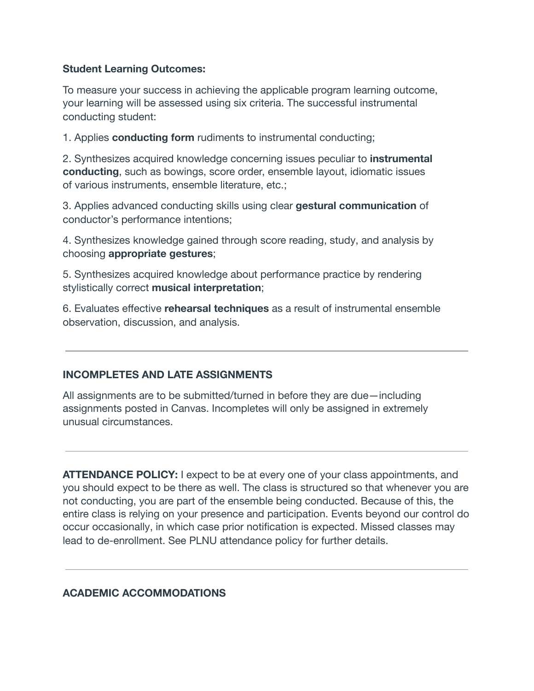## **Student Learning Outcomes:**

To measure your success in achieving the applicable program learning outcome, your learning will be assessed using six criteria. The successful instrumental conducting student:

1. Applies **conducting form**  rudiments to instrumental conducting;

2. Synthesizes acquired knowledge concerning issues peculiar to **instrumental conducting** , such as bowings, score order, ensemble layout, idiomatic issues of various instruments, ensemble literature, etc.;

3. Applies advanced conducting skills using clear **gestural communication**  of conductor's performance intentions;

4. Synthesizes knowledge gained through score reading, study, and analysis by choosing **appropriate gestures** ;

5. Synthesizes acquired knowledge about performance practice by rendering stylistically correct **musical interpretation** ;

6. Evaluates effective **rehearsal techniques**  as a result of instrumental ensemble observation, discussion, and analysis.

# **INCOMPLETES AND LATE ASSIGNMENTS**

All assignments are to be submitted/turned in before they are due—including assignments posted in Canvas. Incompletes will only be assigned in extremely unusual circumstances.

**ATTENDANCE POLICY:** I expect to be at every one of your class appointments, and you should expect to be there as well. The class is structured so that whenever you are not conducting, you are part of the ensemble being conducted. Because of this, the entire class is relying on your presence and participation. Events beyond our control do occur occasionally, in which case prior notification is expected. Missed classes may lead to de-enrollment. See PLNU attendance policy for further details.

## **ACADEMIC ACCOMMODATIONS**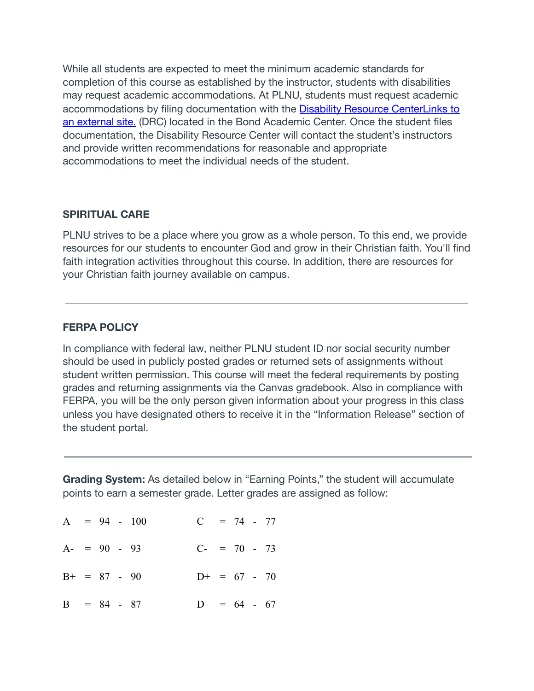While all students are expected to meet the minimum academic standards for completion of this course as established by the instructor, students with disabilities may request academic accommodations. At PLNU, students must request academic accommodations by filing documentation with the  [Disability Resource CenterLinks to](http://www.pointloma.edu/experience/offices/administrative-offices/academic-advising-office/disability-resource-center)  [an external site.](http://www.pointloma.edu/experience/offices/administrative-offices/academic-advising-office/disability-resource-center) (DRC) located in the Bond Academic Center. Once the student files documentation, the Disability Resource Center will contact the student's instructors and provide written recommendations for reasonable and appropriate accommodations to meet the individual needs of the student.

#### **SPIRITUAL CARE**

PLNU strives to be a place where you grow as a whole person. To this end, we provide resources for our students to encounter God and grow in their Christian faith. You'll find faith integration activities throughout this course. In addition, there are resources for your Christian faith journey available on campus.

## **FERPA POLICY**

In compliance with federal law, neither PLNU student ID nor social security number should be used in publicly posted grades or returned sets of assignments without student written permission. This course will meet the federal requirements by posting grades and returning assignments via the Canvas gradebook. Also in compliance with FERPA, you will be the only person given information about your progress in this class unless you have designated others to receive it in the "Information Release" section of the student portal.

**Grading System:** As detailed below in "Earning Points," the student will accumulate points to earn a semester grade. Letter grades are assigned as follow:

|  |                | $A = 94 - 100$ | $C = 74 - 77$  |  |  |  |
|--|----------------|----------------|----------------|--|--|--|
|  | $A = 90 - 93$  |                | $C- = 70 - 73$ |  |  |  |
|  | $B+ = 87 - 90$ |                | $D+ = 67 - 70$ |  |  |  |
|  | $B = 84 - 87$  |                | $D = 64 - 67$  |  |  |  |